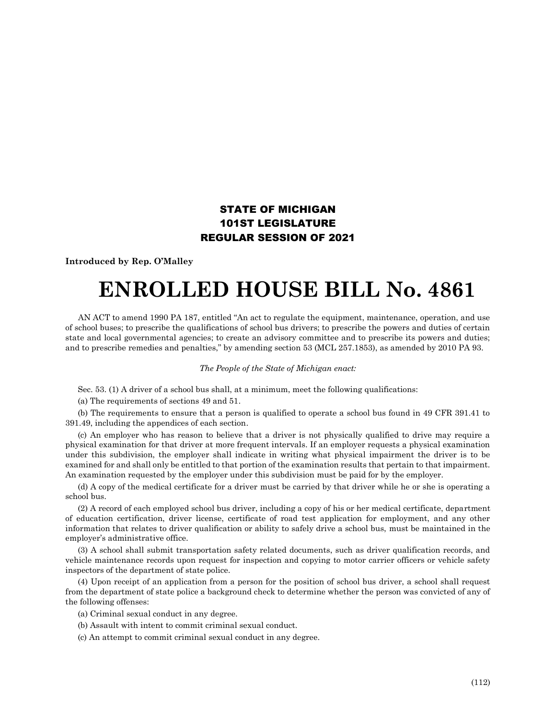## STATE OF MICHIGAN 101ST LEGISLATURE REGULAR SESSION OF 2021

**Introduced by Rep. O'Malley**

## **ENROLLED HOUSE BILL No. 4861**

AN ACT to amend 1990 PA 187, entitled "An act to regulate the equipment, maintenance, operation, and use of school buses; to prescribe the qualifications of school bus drivers; to prescribe the powers and duties of certain state and local governmental agencies; to create an advisory committee and to prescribe its powers and duties; and to prescribe remedies and penalties," by amending section 53 (MCL 257.1853), as amended by 2010 PA 93.

*The People of the State of Michigan enact:*

Sec. 53. (1) A driver of a school bus shall, at a minimum, meet the following qualifications:

(a) The requirements of sections 49 and 51.

(b) The requirements to ensure that a person is qualified to operate a school bus found in 49 CFR 391.41 to 391.49, including the appendices of each section.

(c) An employer who has reason to believe that a driver is not physically qualified to drive may require a physical examination for that driver at more frequent intervals. If an employer requests a physical examination under this subdivision, the employer shall indicate in writing what physical impairment the driver is to be examined for and shall only be entitled to that portion of the examination results that pertain to that impairment. An examination requested by the employer under this subdivision must be paid for by the employer.

(d) A copy of the medical certificate for a driver must be carried by that driver while he or she is operating a school bus.

(2) A record of each employed school bus driver, including a copy of his or her medical certificate, department of education certification, driver license, certificate of road test application for employment, and any other information that relates to driver qualification or ability to safely drive a school bus, must be maintained in the employer's administrative office.

(3) A school shall submit transportation safety related documents, such as driver qualification records, and vehicle maintenance records upon request for inspection and copying to motor carrier officers or vehicle safety inspectors of the department of state police.

(4) Upon receipt of an application from a person for the position of school bus driver, a school shall request from the department of state police a background check to determine whether the person was convicted of any of the following offenses:

(a) Criminal sexual conduct in any degree.

(b) Assault with intent to commit criminal sexual conduct.

(c) An attempt to commit criminal sexual conduct in any degree.